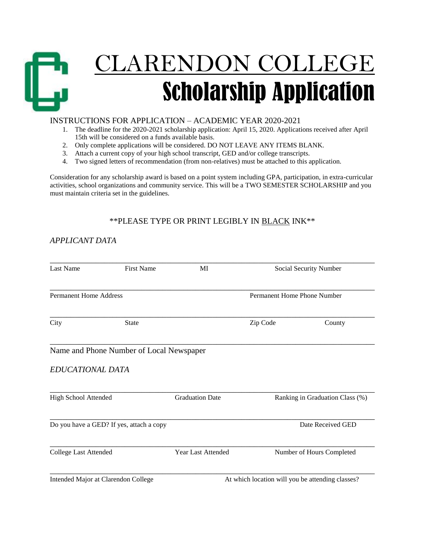

### INSTRUCTIONS FOR APPLICATION – ACADEMIC YEAR 2020-2021

- 1. The deadline for the 2020-2021 scholarship application: April 15, 2020. Applications received after April 15th will be considered on a funds available basis.
- 2. Only complete applications will be considered. DO NOT LEAVE ANY ITEMS BLANK.
- 3. Attach a current copy of your high school transcript, GED and/or college transcripts.
- 4. Two signed letters of recommendation (from non-relatives) must be attached to this application.

Consideration for any scholarship award is based on a point system including GPA, participation, in extra-curricular activities, school organizations and community service. This will be a TWO SEMESTER SCHOLARSHIP and you must maintain criteria set in the guidelines.

## \*\*PLEASE TYPE OR PRINT LEGIBLY IN BLACK INK\*\*

## *APPLICANT DATA*

| <b>Last Name</b>                         | <b>First Name</b>                        | MI                        | Social Security Number                           |        |
|------------------------------------------|------------------------------------------|---------------------------|--------------------------------------------------|--------|
| <b>Permanent Home Address</b>            |                                          |                           | Permanent Home Phone Number                      |        |
| City                                     | <b>State</b>                             |                           | Zip Code                                         | County |
| EDUCATIONAL DATA                         | Name and Phone Number of Local Newspaper |                           |                                                  |        |
| High School Attended                     |                                          | <b>Graduation Date</b>    | Ranking in Graduation Class (%)                  |        |
| Do you have a GED? If yes, attach a copy |                                          |                           | Date Received GED                                |        |
| <b>College Last Attended</b>             |                                          | <b>Year Last Attended</b> | Number of Hours Completed                        |        |
| Intended Major at Clarendon College      |                                          |                           | At which location will you be attending classes? |        |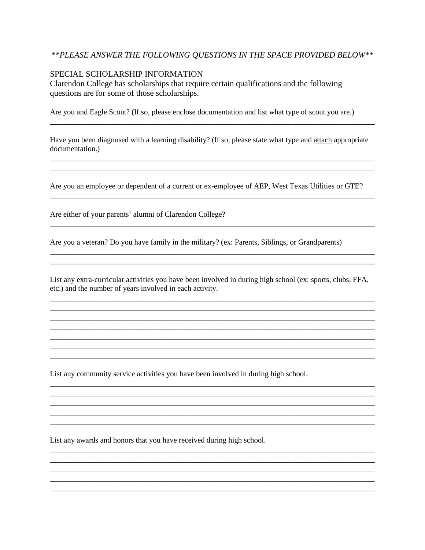### *\*\*PLEASE ANSWER THE FOLLOWING QUESTIONS IN THE SPACE PROVIDED BELOW\*\**

#### SPECIAL SCHOLARSHIP INFORMATION

Clarendon College has scholarships that require certain qualifications and the following questions are for some of those scholarships.

Are you and Eagle Scout? (If so, please enclose documentation and list what type of scout you are.)

Have you been diagnosed with a learning disability? (If so, please state what type and attach appropriate documentation.)

\_\_\_\_\_\_\_\_\_\_\_\_\_\_\_\_\_\_\_\_\_\_\_\_\_\_\_\_\_\_\_\_\_\_\_\_\_\_\_\_\_\_\_\_\_\_\_\_\_\_\_\_\_\_\_\_\_\_\_\_\_\_\_\_\_\_\_\_\_\_\_\_\_\_\_\_\_\_ \_\_\_\_\_\_\_\_\_\_\_\_\_\_\_\_\_\_\_\_\_\_\_\_\_\_\_\_\_\_\_\_\_\_\_\_\_\_\_\_\_\_\_\_\_\_\_\_\_\_\_\_\_\_\_\_\_\_\_\_\_\_\_\_\_\_\_\_\_\_\_\_\_\_\_\_\_\_

Are you an employee or dependent of a current or ex-employee of AEP, West Texas Utilities or GTE?

\_\_\_\_\_\_\_\_\_\_\_\_\_\_\_\_\_\_\_\_\_\_\_\_\_\_\_\_\_\_\_\_\_\_\_\_\_\_\_\_\_\_\_\_\_\_\_\_\_\_\_\_\_\_\_\_\_\_\_\_\_\_\_\_\_\_\_\_\_\_\_\_\_\_\_\_\_\_

\_\_\_\_\_\_\_\_\_\_\_\_\_\_\_\_\_\_\_\_\_\_\_\_\_\_\_\_\_\_\_\_\_\_\_\_\_\_\_\_\_\_\_\_\_\_\_\_\_\_\_\_\_\_\_\_\_\_\_\_\_\_\_\_\_\_\_\_\_\_\_\_\_\_\_\_\_\_

\_\_\_\_\_\_\_\_\_\_\_\_\_\_\_\_\_\_\_\_\_\_\_\_\_\_\_\_\_\_\_\_\_\_\_\_\_\_\_\_\_\_\_\_\_\_\_\_\_\_\_\_\_\_\_\_\_\_\_\_\_\_\_\_\_\_\_\_\_\_\_\_\_\_\_\_\_\_

Are either of your parents' alumni of Clarendon College?

Are you a veteran? Do you have family in the military? (ex: Parents, Siblings, or Grandparents)

List any extra-curricular activities you have been involved in during high school (ex: sports, clubs, FFA, etc.) and the number of years involved in each activity.

\_\_\_\_\_\_\_\_\_\_\_\_\_\_\_\_\_\_\_\_\_\_\_\_\_\_\_\_\_\_\_\_\_\_\_\_\_\_\_\_\_\_\_\_\_\_\_\_\_\_\_\_\_\_\_\_\_\_\_\_\_\_\_\_\_\_\_\_\_\_\_\_\_\_\_\_\_\_ \_\_\_\_\_\_\_\_\_\_\_\_\_\_\_\_\_\_\_\_\_\_\_\_\_\_\_\_\_\_\_\_\_\_\_\_\_\_\_\_\_\_\_\_\_\_\_\_\_\_\_\_\_\_\_\_\_\_\_\_\_\_\_\_\_\_\_\_\_\_\_\_\_\_\_\_\_\_ \_\_\_\_\_\_\_\_\_\_\_\_\_\_\_\_\_\_\_\_\_\_\_\_\_\_\_\_\_\_\_\_\_\_\_\_\_\_\_\_\_\_\_\_\_\_\_\_\_\_\_\_\_\_\_\_\_\_\_\_\_\_\_\_\_\_\_\_\_\_\_\_\_\_\_\_\_\_

\_\_\_\_\_\_\_\_\_\_\_\_\_\_\_\_\_\_\_\_\_\_\_\_\_\_\_\_\_\_\_\_\_\_\_\_\_\_\_\_\_\_\_\_\_\_\_\_\_\_\_\_\_\_\_\_\_\_\_\_\_\_\_\_\_\_\_\_\_\_\_\_\_\_\_\_\_\_ \_\_\_\_\_\_\_\_\_\_\_\_\_\_\_\_\_\_\_\_\_\_\_\_\_\_\_\_\_\_\_\_\_\_\_\_\_\_\_\_\_\_\_\_\_\_\_\_\_\_\_\_\_\_\_\_\_\_\_\_\_\_\_\_\_\_\_\_\_\_\_\_\_\_\_\_\_\_

\_\_\_\_\_\_\_\_\_\_\_\_\_\_\_\_\_\_\_\_\_\_\_\_\_\_\_\_\_\_\_\_\_\_\_\_\_\_\_\_\_\_\_\_\_\_\_\_\_\_\_\_\_\_\_\_\_\_\_\_\_\_\_\_\_\_\_\_\_\_\_\_\_\_\_\_\_\_ \_\_\_\_\_\_\_\_\_\_\_\_\_\_\_\_\_\_\_\_\_\_\_\_\_\_\_\_\_\_\_\_\_\_\_\_\_\_\_\_\_\_\_\_\_\_\_\_\_\_\_\_\_\_\_\_\_\_\_\_\_\_\_\_\_\_\_\_\_\_\_\_\_\_\_\_\_\_ \_\_\_\_\_\_\_\_\_\_\_\_\_\_\_\_\_\_\_\_\_\_\_\_\_\_\_\_\_\_\_\_\_\_\_\_\_\_\_\_\_\_\_\_\_\_\_\_\_\_\_\_\_\_\_\_\_\_\_\_\_\_\_\_\_\_\_\_\_\_\_\_\_\_\_\_\_\_

\_\_\_\_\_\_\_\_\_\_\_\_\_\_\_\_\_\_\_\_\_\_\_\_\_\_\_\_\_\_\_\_\_\_\_\_\_\_\_\_\_\_\_\_\_\_\_\_\_\_\_\_\_\_\_\_\_\_\_\_\_\_\_\_\_\_\_\_\_\_\_\_\_\_\_\_\_\_ \_\_\_\_\_\_\_\_\_\_\_\_\_\_\_\_\_\_\_\_\_\_\_\_\_\_\_\_\_\_\_\_\_\_\_\_\_\_\_\_\_\_\_\_\_\_\_\_\_\_\_\_\_\_\_\_\_\_\_\_\_\_\_\_\_\_\_\_\_\_\_\_\_\_\_\_\_\_

\_\_\_\_\_\_\_\_\_\_\_\_\_\_\_\_\_\_\_\_\_\_\_\_\_\_\_\_\_\_\_\_\_\_\_\_\_\_\_\_\_\_\_\_\_\_\_\_\_\_\_\_\_\_\_\_\_\_\_\_\_\_\_\_\_\_\_\_\_\_\_\_\_\_\_\_\_\_

List any community service activities you have been involved in during high school.

List any awards and honors that you have received during high school.